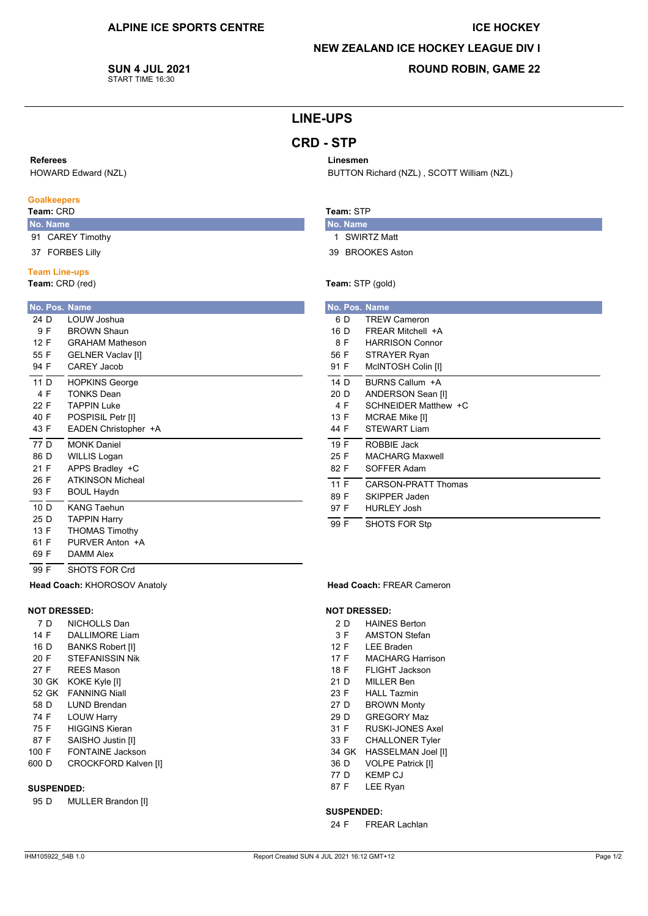## **ICE HOCKEY**

## **NEW ZEALAND ICE HOCKEY LEAGUE DIV I**

BUTTON Richard (NZL), SCOTT William (NZL)

**SUN 4 JUL 2021** START TIME 16:30

## **ROUND ROBIN, GAME 22**

# **LINE-UPS**

# **CRD - STP**

Linesmen

Team: STP

No. Name

1 SWIRTZ Matt

Team: STP (gold)

39 BROOKES Aston

### Referees

HOWARD Edward (NZL)

### **Goalkeepers**

## Team: CRD

- No. Name 91 CAREY Timothy
- 37 FORBES Lilly
- 

# **Team Line-ups**

Team: CRD (red)

|      |     | No. Pos. Name            |
|------|-----|--------------------------|
| 24 D |     | LOUW Joshua              |
|      | 9 F | <b>BROWN Shaun</b>       |
| 12 F |     | <b>GRAHAM Matheson</b>   |
| 55 F |     | <b>GELNER Vaclav [I]</b> |
| 94 F |     | <b>CAREY Jacob</b>       |
| 11 D |     | <b>HOPKINS George</b>    |
| 4 F  |     | <b>TONKS Dean</b>        |
| 22 F |     | TAPPIN Luke              |
| 40 F |     | POSPISIL Petr [I]        |
| 43 F |     | EADEN Christopher +A     |
| 77 D |     | <b>MONK Daniel</b>       |
| 86 D |     | <b>WILLIS Logan</b>      |
| 21 F |     | APPS Bradley +C          |
| 26 F |     | <b>ATKINSON Micheal</b>  |
| 93 F |     | <b>BOUL Haydn</b>        |
| 10 D |     | <b>KANG Taehun</b>       |
| 25 D |     | <b>TAPPIN Harry</b>      |
| 13 F |     | <b>THOMAS Timothy</b>    |
| 61 F |     | PURVER Anton +A          |
| 69 F |     | DAMM Alex                |

|      |     | No. Pos. Name          |
|------|-----|------------------------|
|      | 6 D | <b>TREW Cameron</b>    |
| 16 D |     | FRFAR Mitchell +A      |
| 8 F  |     | <b>HARRISON Connor</b> |
| 56 F |     | <b>STRAYER Ryan</b>    |

| 56 F | STRAYER Ryan           |
|------|------------------------|
| 91 F | McINTOSH Colin [I]     |
| 14 D | BURNS Callum +A        |
| 20 D | ANDERSON Sean [I]      |
| 4 F  | SCHNEIDER Matthew +C   |
| 13 F | MCRAE Mike [I]         |
| 44 F | <b>STEWART Liam</b>    |
| 19 F | ROBBIE Jack            |
| 25 F | <b>MACHARG Maxwell</b> |
| 82 F | SOFFER Adam            |
| 11 F | CARSON-PRATT Thomas    |
| 89 F | SKIPPER Jaden          |
| 97 F | <b>HURLEY Josh</b>     |
| 99 F | SHOTS FOR Stp          |

#### Head Coach: FREAR Cameron

### **NOT DRESSED:**

- 2 D **HAINES Berton**
- $3F$ **AMSTON Stefan**
- 12 F **LEE Braden**
- $17 F$ **MACHARG Harrison**
- FI IGHT Jackson 18 F
- $21D$ MILLER Ben
- 23 F **HALL Tazmin**
- 27 D **BROWN Monty**
- 29 D **GREGORY Maz**
- 31 F RUSKI-JONES Axel  $33 F$
- **CHALLONER Tyler** 34 GK HASSELMAN Joel [I]
- 36 D **VOLPE Patrick [I]**
- 77 D **KEMP CJ**
- 87 F LEE Ryan

### **SUSPENDED:**

24 F **FREAR Lachlan** 

### **SUSPENDED:**

 $95<sub>D</sub>$ MULLER Brandon [I]

SHOTS FOR Crd

Head Coach: KHOROSOV Anatoly

NICHOLLS Dan

**DALLIMORE Liam** 

**BANKS Robert [I]** 

STEFANISSIN Nik

RFFS Mason

**LUND Brendan** 

**HIGGINS Kieran** 

SAISHO Justin [I]

FONTAINE Jackson

**CROCKFORD Kalven [I]** 

**LOUW Harry** 

30 GK KOKE Kyle [I]

52 GK FANNING Niall

 $\overline{99}$  F

7 D

14 F

16 D

 $20 F$ 

27 F

58 D

74 F

75 F

87 F

100 F

600 D

**NOT DRESSED:**